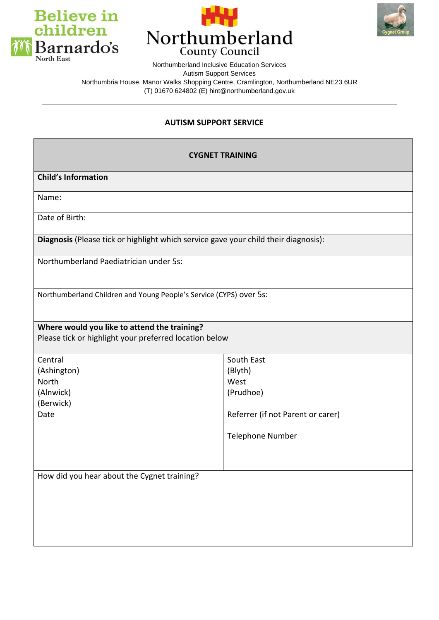





Northumberland Inclusive Education Services Autism Support Services Northumbria House, Manor Walks Shopping Centre, Cramlington, Northumberland NE23 6UR (T) 01670 624802 (E) hint@northumberland.gov.uk

## **AUTISM SUPPORT SERVICE**

| <b>CYGNET TRAINING</b>                                                                                 |                                   |  |
|--------------------------------------------------------------------------------------------------------|-----------------------------------|--|
| <b>Child's Information</b>                                                                             |                                   |  |
| Name:                                                                                                  |                                   |  |
| Date of Birth:                                                                                         |                                   |  |
| Diagnosis (Please tick or highlight which service gave your child their diagnosis):                    |                                   |  |
| Northumberland Paediatrician under 5s:                                                                 |                                   |  |
| Northumberland Children and Young People's Service (CYPS) over 5s:                                     |                                   |  |
| Where would you like to attend the training?<br>Please tick or highlight your preferred location below |                                   |  |
| Central                                                                                                | South East                        |  |
| (Ashington)                                                                                            | (Blyth)                           |  |
| North                                                                                                  | West                              |  |
| (Alnwick)                                                                                              | (Prudhoe)                         |  |
| (Berwick)                                                                                              |                                   |  |
| Date                                                                                                   | Referrer (if not Parent or carer) |  |
|                                                                                                        | Telephone Number                  |  |
|                                                                                                        |                                   |  |
| How did you hear about the Cygnet training?                                                            |                                   |  |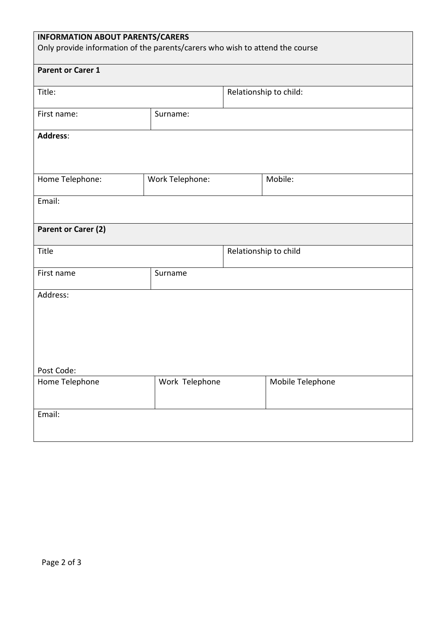| <b>INFORMATION ABOUT PARENTS/CARERS</b><br>Only provide information of the parents/carers who wish to attend the course |                 |                        |                  |  |  |
|-------------------------------------------------------------------------------------------------------------------------|-----------------|------------------------|------------------|--|--|
| <b>Parent or Carer 1</b>                                                                                                |                 |                        |                  |  |  |
| Title:                                                                                                                  |                 | Relationship to child: |                  |  |  |
| First name:                                                                                                             | Surname:        |                        |                  |  |  |
| <b>Address:</b>                                                                                                         |                 |                        |                  |  |  |
|                                                                                                                         |                 |                        |                  |  |  |
| Home Telephone:                                                                                                         | Work Telephone: |                        | Mobile:          |  |  |
| Email:                                                                                                                  |                 |                        |                  |  |  |
| Parent or Carer (2)                                                                                                     |                 |                        |                  |  |  |
| Title                                                                                                                   |                 | Relationship to child  |                  |  |  |
| First name                                                                                                              | Surname         |                        |                  |  |  |
| Address:                                                                                                                |                 |                        |                  |  |  |
|                                                                                                                         |                 |                        |                  |  |  |
|                                                                                                                         |                 |                        |                  |  |  |
|                                                                                                                         |                 |                        |                  |  |  |
| Post Code:<br>Home Telephone                                                                                            | Work Telephone  |                        | Mobile Telephone |  |  |
| Email:                                                                                                                  |                 |                        |                  |  |  |